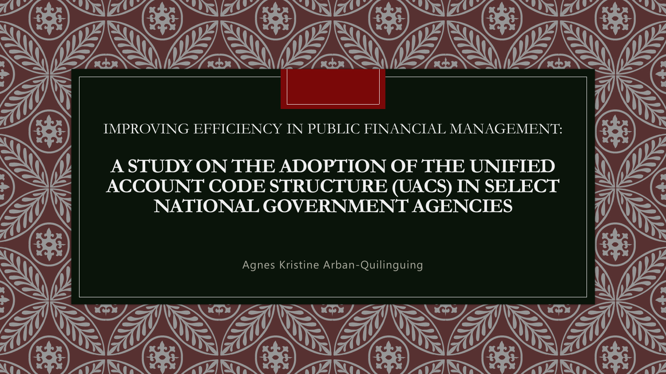#### IMPROVING EFFICIENCY IN PUBLIC FINANCIAL MANAGEMENT:

### **A STUDY ON THE ADOPTION OF THE UNIFIED ACCOUNT CODE STRUCTURE (UACS) IN SELECT NATIONAL GOVERNMENT AGENCIES**

Agnes Kristine Arban-Quilinguing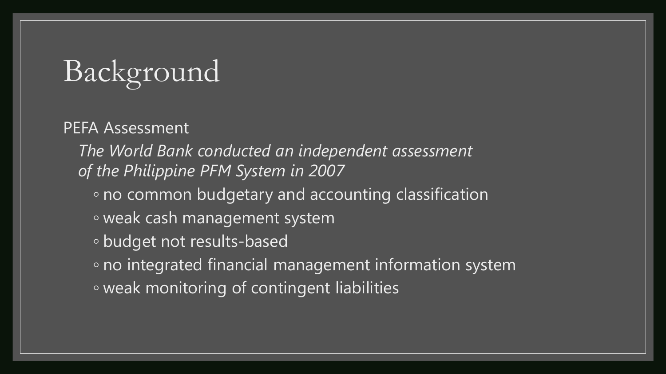## Background

PEFA Assessment

*The World Bank conducted an independent assessment of the Philippine PFM System in 2007*

- no common budgetary and accounting classification
- weak cash management system
- budget not results-based
- no integrated financial management information system ◦ weak monitoring of contingent liabilities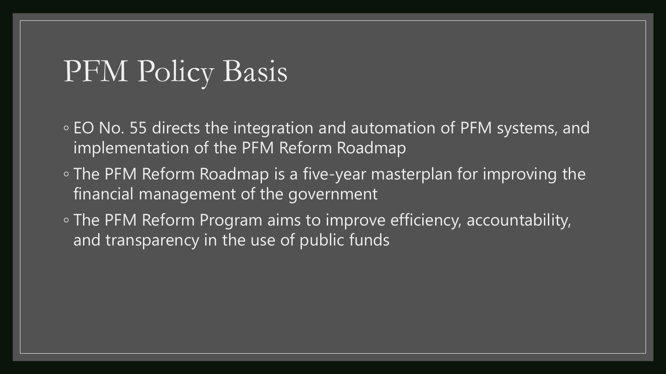## PFM Policy Basis

- EO No. 55 directs the integration and automation of PFM systems, and implementation of the PFM Reform Roadmap
- The PFM Reform Roadmap is a five-year masterplan for improving the financial management of the government
- The PFM Reform Program aims to improve efficiency, accountability, and transparency in the use of public funds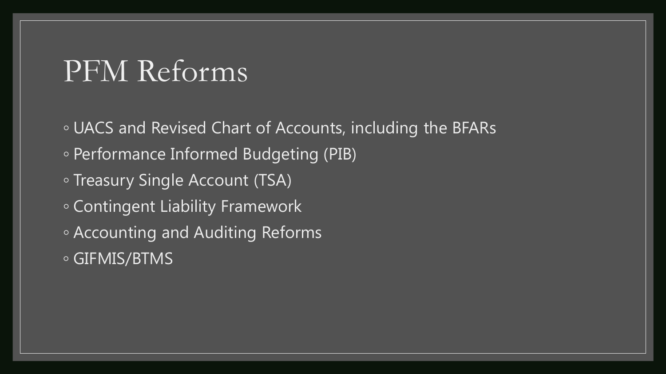## PFM Reforms

◦ UACS and Revised Chart of Accounts, including the BFARs ◦ Performance Informed Budgeting (PIB) ◦ Treasury Single Account (TSA) ◦ Contingent Liability Framework ◦ Accounting and Auditing Reforms ◦ GIFMIS/BTMS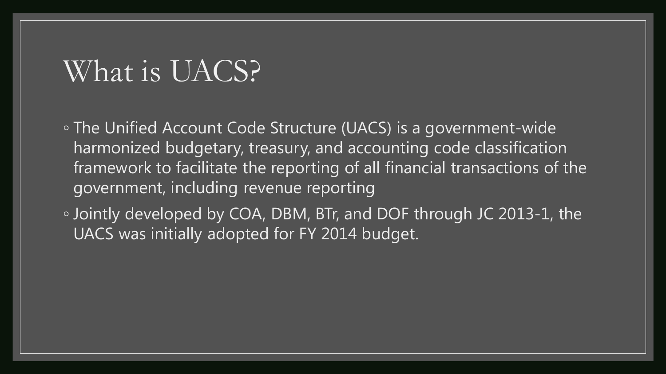## What is UACS?

◦ The Unified Account Code Structure (UACS) is a government-wide harmonized budgetary, treasury, and accounting code classification framework to facilitate the reporting of all financial transactions of the government, including revenue reporting

◦ Jointly developed by COA, DBM, BTr, and DOF through JC 2013-1, the UACS was initially adopted for FY 2014 budget.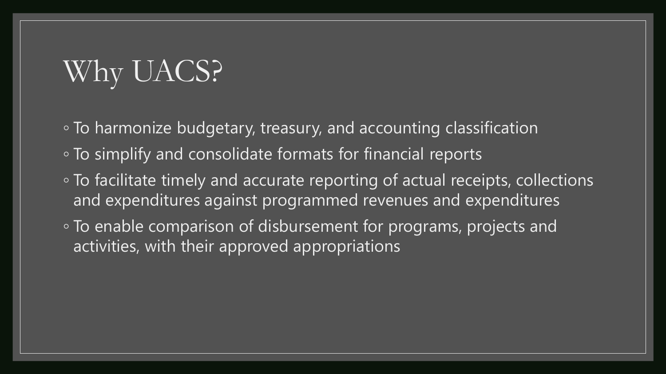## Why UACS?

- To harmonize budgetary, treasury, and accounting classification
- To simplify and consolidate formats for financial reports
- To facilitate timely and accurate reporting of actual receipts, collections and expenditures against programmed revenues and expenditures
- To enable comparison of disbursement for programs, projects and activities, with their approved appropriations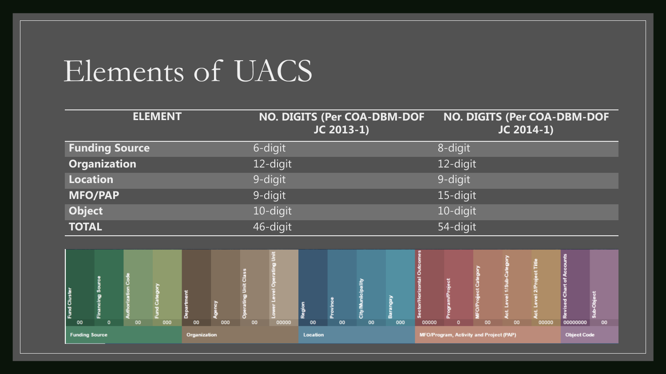## Elements of UACS

| <b>ELEMENT</b>        | NO. DIGITS (Per COA-DBM-DOF<br>JC 2013-1) | NO. DIGITS (Per COA-DBM-DOF<br>JC 2014-1) |
|-----------------------|-------------------------------------------|-------------------------------------------|
| <b>Funding Source</b> | 6-digit                                   | 8-digit                                   |
| <b>Organization</b>   | 12-digit                                  | 12-digit                                  |
| <b>Location</b>       | 9-digit                                   | 9-digit                                   |
| <b>MFO/PAP</b>        | 9-digit                                   | 15-digit                                  |
| <b>Object</b>         | 10-digit                                  | 10-digit                                  |
| <b>TOTAL</b>          | 46-digit                                  | 54-digit                                  |

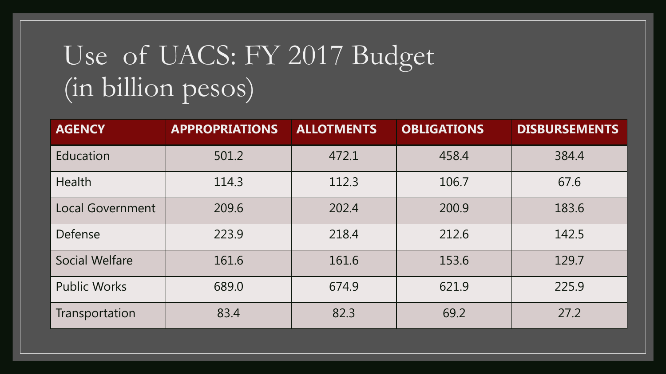## Use of UACS: FY 2017 Budget (in billion pesos)

| <b>AGENCY</b>           | <b>APPROPRIATIONS</b> | <b>ALLOTMENTS</b> | <b>OBLIGATIONS</b> | <b>DISBURSEMENTS</b> |
|-------------------------|-----------------------|-------------------|--------------------|----------------------|
| Education               | 501.2                 | 472.1             | 458.4              | 384.4                |
| Health                  | 114.3                 | 112.3             | 106.7              | 67.6                 |
| <b>Local Government</b> | 209.6                 | 202.4             | 200.9              | 183.6                |
| Defense                 | 223.9                 | 218.4             | 212.6              | 142.5                |
| <b>Social Welfare</b>   | 161.6                 | 161.6             | 153.6              | 129.7                |
| <b>Public Works</b>     | 689.0                 | 674.9             | 621.9              | 225.9                |
| Transportation          | 83.4                  | 82.3              | 69.2               | 27.2                 |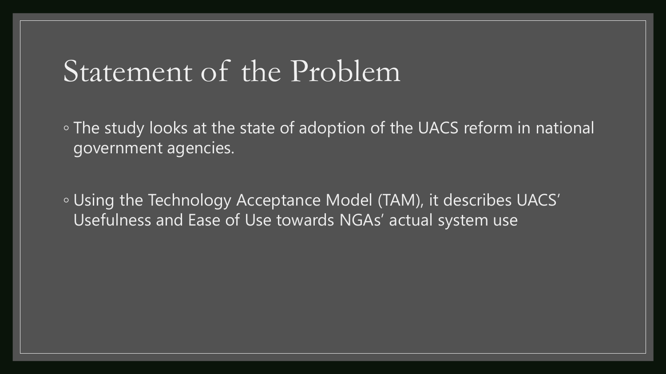## Statement of the Problem

◦ The study looks at the state of adoption of the UACS reform in national government agencies.

◦ Using the Technology Acceptance Model (TAM), it describes UACS' Usefulness and Ease of Use towards NGAs' actual system use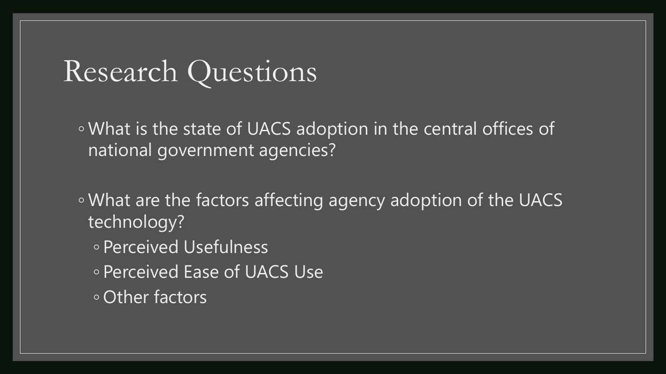## Research Questions

◦ What is the state of UACS adoption in the central offices of national government agencies?

◦ What are the factors affecting agency adoption of the UACS technology?

- Perceived Usefulness
- Perceived Ease of UACS Use
- Other factors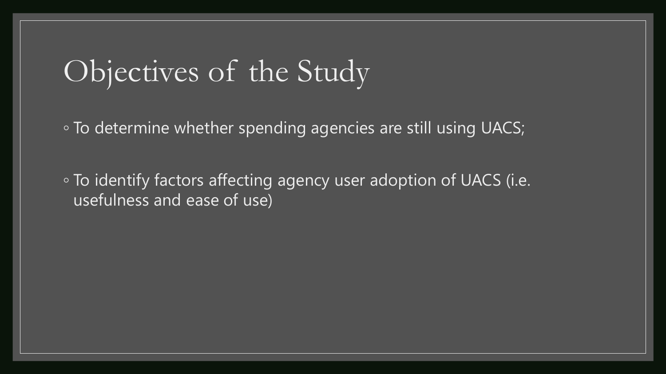## Objectives of the Study

◦ To determine whether spending agencies are still using UACS;

◦ To identify factors affecting agency user adoption of UACS (i.e. usefulness and ease of use)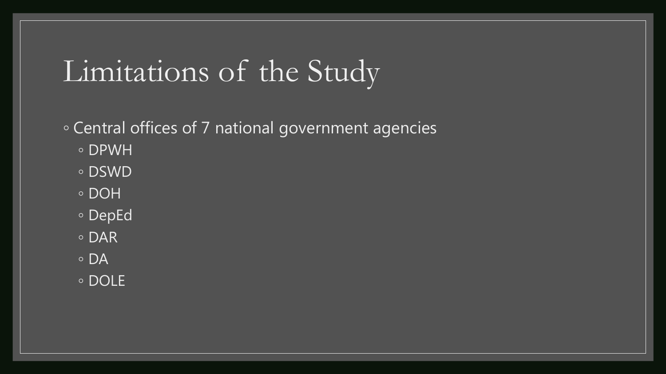## Limitations of the Study

#### ◦ Central offices of 7 national government agencies

- DPWH
- DSWD
- DOH
- DepEd
- DAR
- DA
- DOLE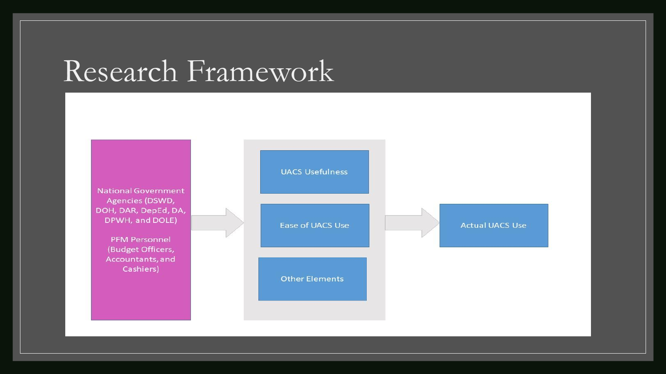## Research Framework

**National Government** Agencies (DSWD, DOH, DAR, DepEd, DA, DPWH, and DOLE)

> **PFM Personnel** (Budget Officers, Accountants, and Cashiers)

|  | <b>UACS Usefulness</b> |                        |  |
|--|------------------------|------------------------|--|
|  | Ease of UACS Use       | <b>Actual UACS Use</b> |  |
|  | <b>Other Elements</b>  |                        |  |
|  |                        |                        |  |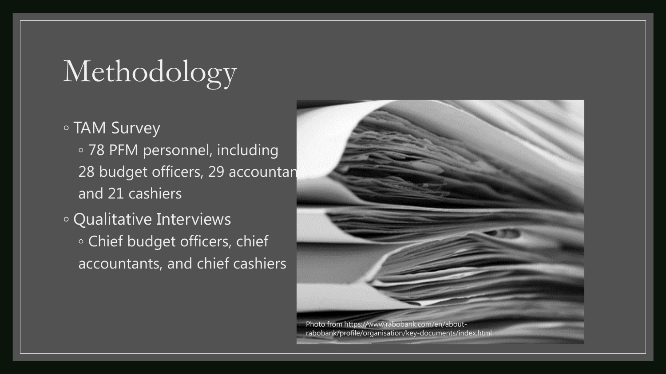# Methodology

- TAM Survey
	- 78 PFM personnel, including 28 budget officers, 29 accountan and 21 cashiers
- Qualitative Interviews ◦ Chief budget officers, chief accountants, and chief cashiers



rabobank/profile/organisation/key-documents/index.html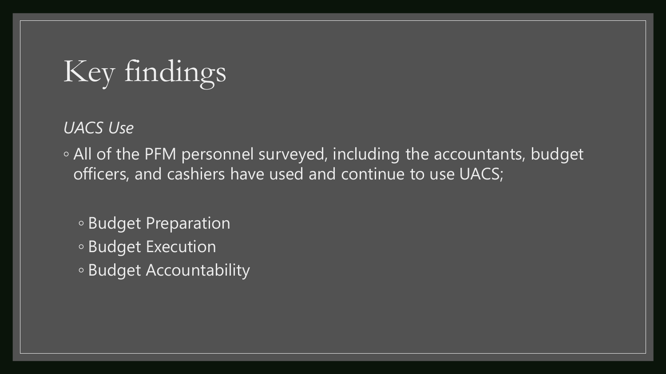*UACS Use* 

◦ All of the PFM personnel surveyed, including the accountants, budget officers, and cashiers have used and continue to use UACS;

- Budget Preparation
- Budget Execution
- Budget Accountability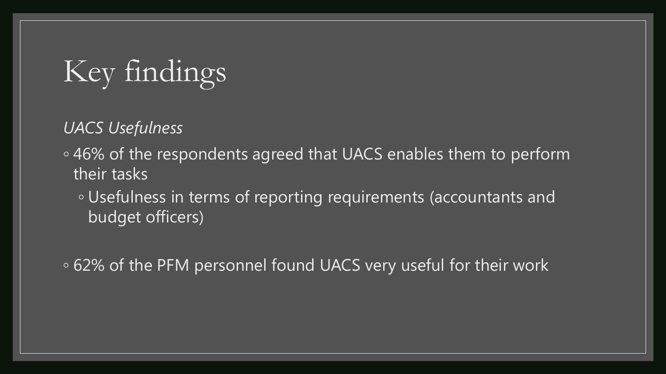*UACS Usefulness* 

◦ 46% of the respondents agreed that UACS enables them to perform their tasks

◦ Usefulness in terms of reporting requirements (accountants and budget officers)

◦ 62% of the PFM personnel found UACS very useful for their work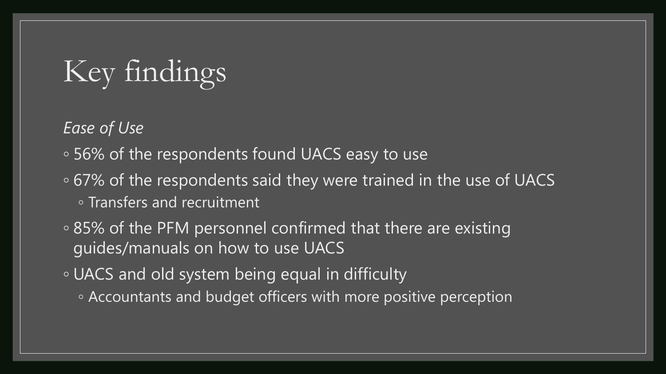*Ease of Use*

- 56% of the respondents found UACS easy to use
- 67% of the respondents said they were trained in the use of UACS ◦ Transfers and recruitment
- 85% of the PFM personnel confirmed that there are existing guides/manuals on how to use UACS
- UACS and old system being equal in difficulty
	- Accountants and budget officers with more positive perception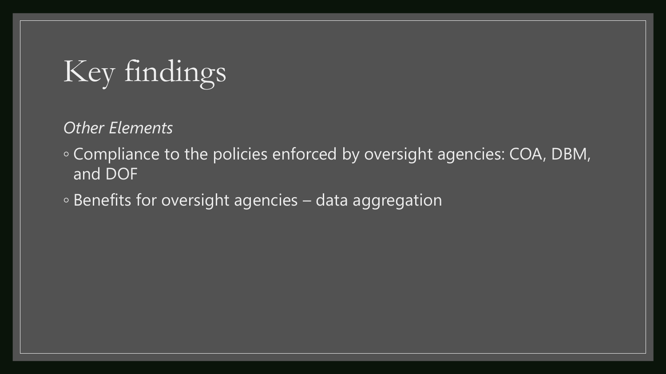*Other Elements*

- Compliance to the policies enforced by oversight agencies: COA, DBM, and DOF
- Benefits for oversight agencies data aggregation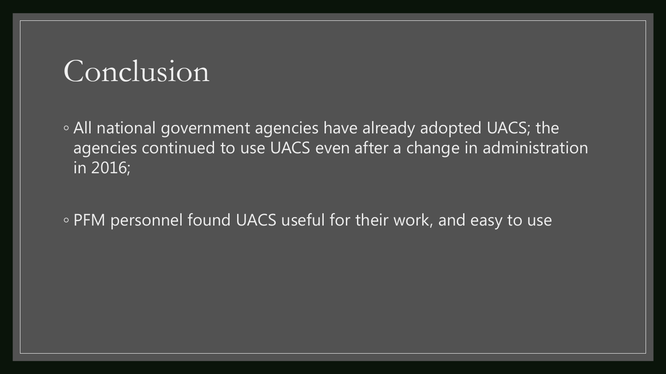## Conclusion

◦ All national government agencies have already adopted UACS; the agencies continued to use UACS even after a change in administration in 2016;

◦ PFM personnel found UACS useful for their work, and easy to use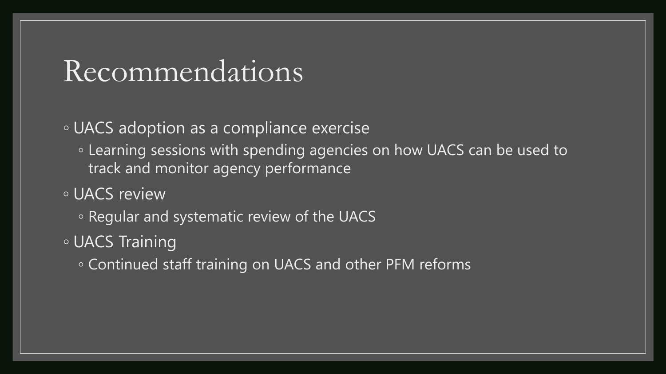### Recommendations

◦ UACS adoption as a compliance exercise

- Learning sessions with spending agencies on how UACS can be used to track and monitor agency performance
- UACS review
	- Regular and systematic review of the UACS
- UACS Training
	- Continued staff training on UACS and other PFM reforms